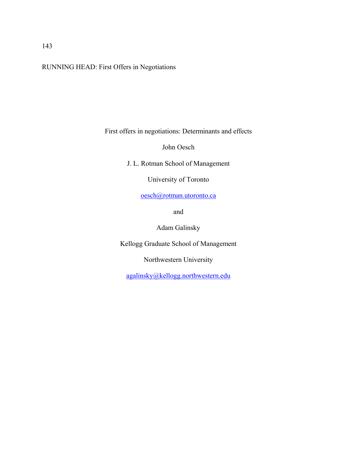RUNNING HEAD: First Offers in Negotiations

First offers in negotiations: Determinants and effects

John Oesch

J. L. Rotman School of Management

University of Toronto

oesch@rotman.utoronto.ca

and

Adam Galinsky

Kellogg Graduate School of Management

Northwestern University

agalinsky@kellogg.northwestern.edu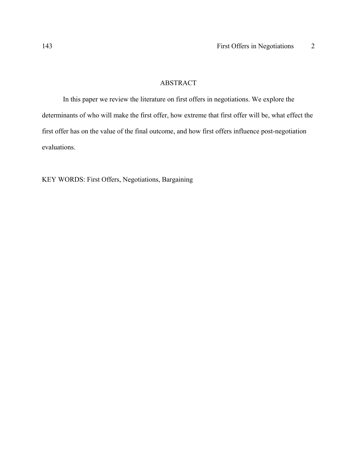# ABSTRACT

 In this paper we review the literature on first offers in negotiations. We explore the determinants of who will make the first offer, how extreme that first offer will be, what effect the first offer has on the value of the final outcome, and how first offers influence post-negotiation evaluations.

KEY WORDS: First Offers, Negotiations, Bargaining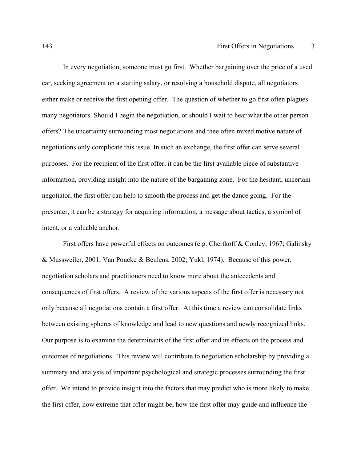In every negotiation, someone must go first. Whether bargaining over the price of a used car, seeking agreement on a starting salary, or resolving a household dispute, all negotiators either make or receive the first opening offer. The question of whether to go first often plagues many negotiators. Should I begin the negotiation, or should I wait to hear what the other person offers? The uncertainty surrounding most negotiations and thee often mixed motive nature of negotiations only complicate this issue. In such an exchange, the first offer can serve several purposes. For the recipient of the first offer, it can be the first available piece of substantive information, providing insight into the nature of the bargaining zone. For the hesitant, uncertain negotiator, the first offer can help to smooth the process and get the dance going. For the presenter, it can be a strategy for acquiring information, a message about tactics, a symbol of intent, or a valuable anchor.

First offers have powerful effects on outcomes (e.g. Chertkoff & Conley, 1967; Galinsky & Mussweiler, 2001; Van Poucke & Beulens, 2002; Yukl, 1974). Because of this power, negotiation scholars and practitioners need to know more about the antecedents and consequences of first offers. A review of the various aspects of the first offer is necessary not only because all negotiations contain a first offer. At this time a review can consolidate links between existing spheres of knowledge and lead to new questions and newly recognized links. Our purpose is to examine the determinants of the first offer and its effects on the process and outcomes of negotiations. This review will contribute to negotiation scholarship by providing a summary and analysis of important psychological and strategic processes surrounding the first offer. We intend to provide insight into the factors that may predict who is more likely to make the first offer, how extreme that offer might be, how the first offer may guide and influence the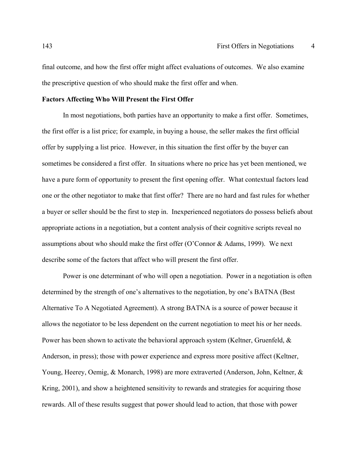final outcome, and how the first offer might affect evaluations of outcomes. We also examine the prescriptive question of who should make the first offer and when.

## **Factors Affecting Who Will Present the First Offer**

 In most negotiations, both parties have an opportunity to make a first offer. Sometimes, the first offer is a list price; for example, in buying a house, the seller makes the first official offer by supplying a list price. However, in this situation the first offer by the buyer can sometimes be considered a first offer. In situations where no price has yet been mentioned, we have a pure form of opportunity to present the first opening offer. What contextual factors lead one or the other negotiator to make that first offer? There are no hard and fast rules for whether a buyer or seller should be the first to step in. Inexperienced negotiators do possess beliefs about appropriate actions in a negotiation, but a content analysis of their cognitive scripts reveal no assumptions about who should make the first offer (O'Connor & Adams, 1999). We next describe some of the factors that affect who will present the first offer.

Power is one determinant of who will open a negotiation. Power in a negotiation is often determined by the strength of one's alternatives to the negotiation, by one's BATNA (Best Alternative To A Negotiated Agreement). A strong BATNA is a source of power because it allows the negotiator to be less dependent on the current negotiation to meet his or her needs. Power has been shown to activate the behavioral approach system (Keltner, Gruenfeld, & Anderson, in press); those with power experience and express more positive affect (Keltner, Young, Heerey, Oemig, & Monarch, 1998) are more extraverted (Anderson, John, Keltner, & Kring, 2001), and show a heightened sensitivity to rewards and strategies for acquiring those rewards. All of these results suggest that power should lead to action, that those with power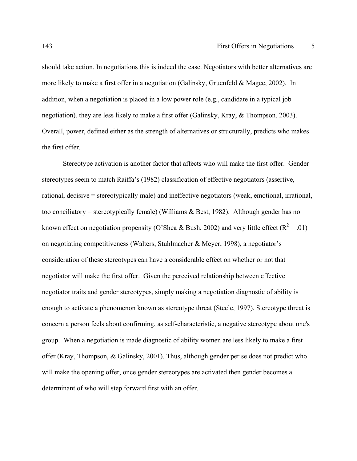should take action. In negotiations this is indeed the case. Negotiators with better alternatives are more likely to make a first offer in a negotiation (Galinsky, Gruenfeld & Magee, 2002). In addition, when a negotiation is placed in a low power role (e.g., candidate in a typical job negotiation), they are less likely to make a first offer (Galinsky, Kray, & Thompson, 2003). Overall, power, defined either as the strength of alternatives or structurally, predicts who makes the first offer.

Stereotype activation is another factor that affects who will make the first offer. Gender stereotypes seem to match Raiffa's (1982) classification of effective negotiators (assertive, rational, decisive = stereotypically male) and ineffective negotiators (weak, emotional, irrational, too conciliatory = stereotypically female) (Williams  $\&$  Best, 1982). Although gender has no known effect on negotiation propensity (O'Shea & Bush, 2002) and very little effect ( $R^2 = .01$ ) on negotiating competitiveness (Walters, Stuhlmacher & Meyer, 1998), a negotiator's consideration of these stereotypes can have a considerable effect on whether or not that negotiator will make the first offer. Given the perceived relationship between effective negotiator traits and gender stereotypes, simply making a negotiation diagnostic of ability is enough to activate a phenomenon known as stereotype threat (Steele, 1997). Stereotype threat is concern a person feels about confirming, as self-characteristic, a negative stereotype about one's group. When a negotiation is made diagnostic of ability women are less likely to make a first offer (Kray, Thompson, & Galinsky, 2001). Thus, although gender per se does not predict who will make the opening offer, once gender stereotypes are activated then gender becomes a determinant of who will step forward first with an offer.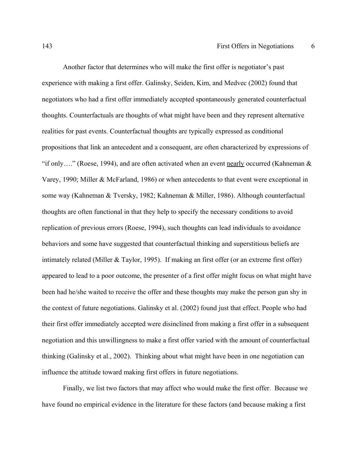Another factor that determines who will make the first offer is negotiator's past experience with making a first offer. Galinsky, Seiden, Kim, and Medvec (2002) found that negotiators who had a first offer immediately accepted spontaneously generated counterfactual thoughts. Counterfactuals are thoughts of what might have been and they represent alternative realities for past events. Counterfactual thoughts are typically expressed as conditional propositions that link an antecedent and a consequent, are often characterized by expressions of "if only...." (Roese, 1994), and are often activated when an event nearly occurred (Kahneman  $\&$ Varey, 1990; Miller & McFarland, 1986) or when antecedents to that event were exceptional in some way (Kahneman & Tversky, 1982; Kahneman & Miller, 1986). Although counterfactual thoughts are often functional in that they help to specify the necessary conditions to avoid replication of previous errors (Roese, 1994), such thoughts can lead individuals to avoidance behaviors and some have suggested that counterfactual thinking and superstitious beliefs are intimately related (Miller & Taylor, 1995). If making an first offer (or an extreme first offer) appeared to lead to a poor outcome, the presenter of a first offer might focus on what might have been had he/she waited to receive the offer and these thoughts may make the person gun shy in the context of future negotiations. Galinsky et al. (2002) found just that effect. People who had their first offer immediately accepted were disinclined from making a first offer in a subsequent negotiation and this unwillingness to make a first offer varied with the amount of counterfactual thinking (Galinsky et al., 2002). Thinking about what might have been in one negotiation can influence the attitude toward making first offers in future negotiations.

Finally, we list two factors that may affect who would make the first offer. Because we have found no empirical evidence in the literature for these factors (and because making a first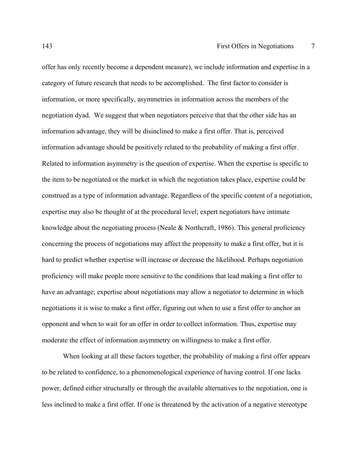offer has only recently become a dependent measure), we include information and expertise in a category of future research that needs to be accomplished. The first factor to consider is information, or more specifically, asymmetries in information across the members of the negotiation dyad. We suggest that when negotiators perceive that that the other side has an information advantage, they will be disinclined to make a first offer. That is, perceived information advantage should be positively related to the probability of making a first offer. Related to information asymmetry is the question of expertise. When the expertise is specific to the item to be negotiated or the market in which the negotiation takes place, expertise could be construed as a type of information advantage. Regardless of the specific content of a negotiation, expertise may also be thought of at the procedural level; expert negotiators have intimate knowledge about the negotiating process (Neale & Northcraft, 1986). This general proficiency concerning the process of negotiations may affect the propensity to make a first offer, but it is hard to predict whether expertise will increase or decrease the likelihood. Perhaps negotiation proficiency will make people more sensitive to the conditions that lead making a first offer to have an advantage; expertise about negotiations may allow a negotiator to determine in which negotiations it is wise to make a first offer, figuring out when to use a first offer to anchor an opponent and when to wait for an offer in order to collect information. Thus, expertise may moderate the effect of information asymmetry on willingness to make a first offer.

When looking at all these factors together, the probability of making a first offer appears to be related to confidence, to a phenomenological experience of having control. If one lacks power, defined either structurally or through the available alternatives to the negotiation, one is less inclined to make a first offer. If one is threatened by the activation of a negative stereotype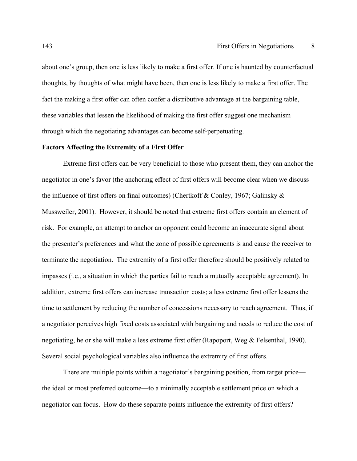about one's group, then one is less likely to make a first offer. If one is haunted by counterfactual thoughts, by thoughts of what might have been, then one is less likely to make a first offer. The fact the making a first offer can often confer a distributive advantage at the bargaining table, these variables that lessen the likelihood of making the first offer suggest one mechanism through which the negotiating advantages can become self-perpetuating.

## **Factors Affecting the Extremity of a First Offer**

 Extreme first offers can be very beneficial to those who present them, they can anchor the negotiator in one's favor (the anchoring effect of first offers will become clear when we discuss the influence of first offers on final outcomes) (Chertkoff & Conley, 1967; Galinsky & Mussweiler, 2001). However, it should be noted that extreme first offers contain an element of risk. For example, an attempt to anchor an opponent could become an inaccurate signal about the presenter's preferences and what the zone of possible agreements is and cause the receiver to terminate the negotiation. The extremity of a first offer therefore should be positively related to impasses (i.e., a situation in which the parties fail to reach a mutually acceptable agreement). In addition, extreme first offers can increase transaction costs; a less extreme first offer lessens the time to settlement by reducing the number of concessions necessary to reach agreement. Thus, if a negotiator perceives high fixed costs associated with bargaining and needs to reduce the cost of negotiating, he or she will make a less extreme first offer (Rapoport, Weg & Felsenthal, 1990). Several social psychological variables also influence the extremity of first offers.

 There are multiple points within a negotiator's bargaining position, from target price the ideal or most preferred outcome—to a minimally acceptable settlement price on which a negotiator can focus. How do these separate points influence the extremity of first offers?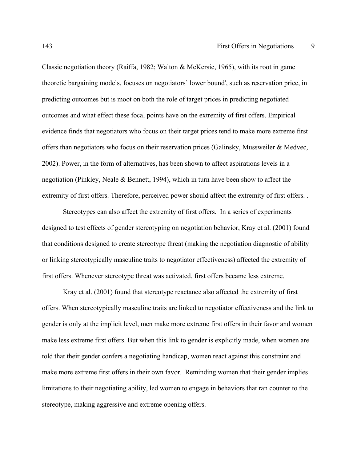Classic negotiation theory (Raiffa, 1982; Walton & McKersie, 1965), with its root in game theoretic bargaining models, focuses on negotiators' lower bound<sup>i</sup>, such as reservation price, in predicting outcomes but is moot on both the role of target prices in predicting negotiated outcomes and what effect these focal points have on the extremity of first offers. Empirical evidence finds that negotiators who focus on their target prices tend to make more extreme first offers than negotiators who focus on their reservation prices (Galinsky, Mussweiler & Medvec, 2002). Power, in the form of alternatives, has been shown to affect aspirations levels in a negotiation (Pinkley, Neale & Bennett, 1994), which in turn have been show to affect the extremity of first offers. Therefore, perceived power should affect the extremity of first offers. .

 Stereotypes can also affect the extremity of first offers. In a series of experiments designed to test effects of gender stereotyping on negotiation behavior, Kray et al. (2001) found that conditions designed to create stereotype threat (making the negotiation diagnostic of ability or linking stereotypically masculine traits to negotiator effectiveness) affected the extremity of first offers. Whenever stereotype threat was activated, first offers became less extreme.

 Kray et al. (2001) found that stereotype reactance also affected the extremity of first offers. When stereotypically masculine traits are linked to negotiator effectiveness and the link to gender is only at the implicit level, men make more extreme first offers in their favor and women make less extreme first offers. But when this link to gender is explicitly made, when women are told that their gender confers a negotiating handicap, women react against this constraint and make more extreme first offers in their own favor. Reminding women that their gender implies limitations to their negotiating ability, led women to engage in behaviors that ran counter to the stereotype, making aggressive and extreme opening offers.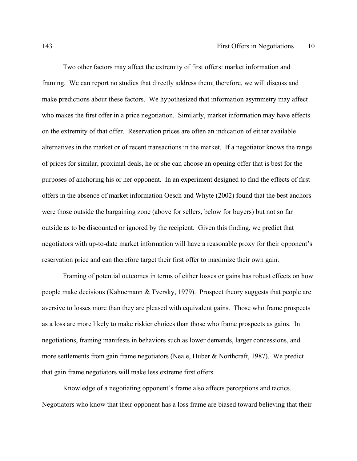Two other factors may affect the extremity of first offers: market information and framing. We can report no studies that directly address them; therefore, we will discuss and make predictions about these factors. We hypothesized that information asymmetry may affect who makes the first offer in a price negotiation. Similarly, market information may have effects on the extremity of that offer. Reservation prices are often an indication of either available alternatives in the market or of recent transactions in the market. If a negotiator knows the range of prices for similar, proximal deals, he or she can choose an opening offer that is best for the purposes of anchoring his or her opponent. In an experiment designed to find the effects of first offers in the absence of market information Oesch and Whyte (2002) found that the best anchors were those outside the bargaining zone (above for sellers, below for buyers) but not so far outside as to be discounted or ignored by the recipient. Given this finding, we predict that negotiators with up-to-date market information will have a reasonable proxy for their opponent's reservation price and can therefore target their first offer to maximize their own gain.

Framing of potential outcomes in terms of either losses or gains has robust effects on how people make decisions (Kahnemann & Tversky, 1979). Prospect theory suggests that people are aversive to losses more than they are pleased with equivalent gains. Those who frame prospects as a loss are more likely to make riskier choices than those who frame prospects as gains. In negotiations, framing manifests in behaviors such as lower demands, larger concessions, and more settlements from gain frame negotiators (Neale, Huber & Northcraft, 1987). We predict that gain frame negotiators will make less extreme first offers.

Knowledge of a negotiating opponent's frame also affects perceptions and tactics. Negotiators who know that their opponent has a loss frame are biased toward believing that their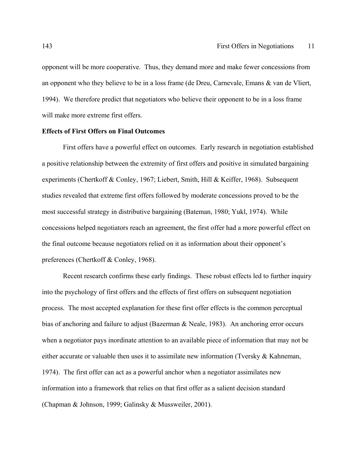opponent will be more cooperative. Thus, they demand more and make fewer concessions from an opponent who they believe to be in a loss frame (de Dreu, Carnevale, Emans & van de Vliert, 1994). We therefore predict that negotiators who believe their opponent to be in a loss frame will make more extreme first offers.

## **Effects of First Offers on Final Outcomes**

First offers have a powerful effect on outcomes. Early research in negotiation established a positive relationship between the extremity of first offers and positive in simulated bargaining experiments (Chertkoff & Conley, 1967; Liebert, Smith, Hill & Keiffer, 1968). Subsequent studies revealed that extreme first offers followed by moderate concessions proved to be the most successful strategy in distributive bargaining (Bateman, 1980; Yukl, 1974). While concessions helped negotiators reach an agreement, the first offer had a more powerful effect on the final outcome because negotiators relied on it as information about their opponent's preferences (Chertkoff & Conley, 1968).

Recent research confirms these early findings. These robust effects led to further inquiry into the psychology of first offers and the effects of first offers on subsequent negotiation process. The most accepted explanation for these first offer effects is the common perceptual bias of anchoring and failure to adjust (Bazerman & Neale, 1983). An anchoring error occurs when a negotiator pays inordinate attention to an available piece of information that may not be either accurate or valuable then uses it to assimilate new information (Tversky  $\&$  Kahneman, 1974). The first offer can act as a powerful anchor when a negotiator assimilates new information into a framework that relies on that first offer as a salient decision standard (Chapman & Johnson, 1999; Galinsky & Mussweiler, 2001).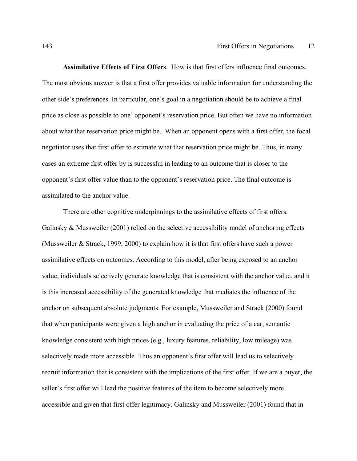**Assimilative Effects of First Offers**. How is that first offers influence final outcomes. The most obvious answer is that a first offer provides valuable information for understanding the other side's preferences. In particular, one's goal in a negotiation should be to achieve a final price as close as possible to one' opponent's reservation price. But often we have no information about what that reservation price might be. When an opponent opens with a first offer, the focal negotiator uses that first offer to estimate what that reservation price might be. Thus, in many cases an extreme first offer by is successful in leading to an outcome that is closer to the opponent's first offer value than to the opponent's reservation price. The final outcome is assimilated to the anchor value.

There are other cognitive underpinnings to the assimilative effects of first offers. Galinsky & Mussweiler (2001) relied on the selective accessibility model of anchoring effects (Mussweiler & Strack, 1999, 2000) to explain how it is that first offers have such a power assimilative effects on outcomes. According to this model, after being exposed to an anchor value, individuals selectively generate knowledge that is consistent with the anchor value, and it is this increased accessibility of the generated knowledge that mediates the influence of the anchor on subsequent absolute judgments. For example, Mussweiler and Strack (2000) found that when participants were given a high anchor in evaluating the price of a car, semantic knowledge consistent with high prices (e.g., luxury features, reliability, low mileage) was selectively made more accessible. Thus an opponent's first offer will lead us to selectively recruit information that is consistent with the implications of the first offer. If we are a buyer, the seller's first offer will lead the positive features of the item to become selectively more accessible and given that first offer legitimacy. Galinsky and Mussweiler (2001) found that in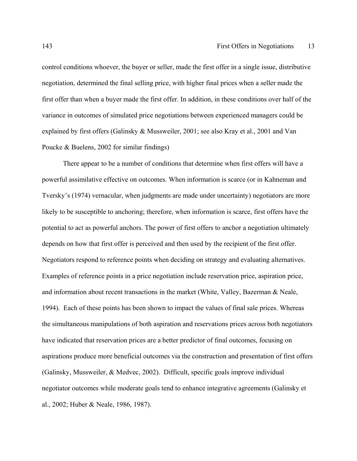control conditions whoever, the buyer or seller, made the first offer in a single issue, distributive negotiation, determined the final selling price, with higher final prices when a seller made the first offer than when a buyer made the first offer. In addition, in these conditions over half of the variance in outcomes of simulated price negotiations between experienced managers could be explained by first offers (Galinsky & Mussweiler, 2001; see also Kray et al., 2001 and Van Poucke & Buelens, 2002 for similar findings)

There appear to be a number of conditions that determine when first offers will have a powerful assimilative effective on outcomes. When information is scarce (or in Kahneman and Tversky's (1974) vernacular, when judgments are made under uncertainty) negotiators are more likely to be susceptible to anchoring; therefore, when information is scarce, first offers have the potential to act as powerful anchors. The power of first offers to anchor a negotiation ultimately depends on how that first offer is perceived and then used by the recipient of the first offer. Negotiators respond to reference points when deciding on strategy and evaluating alternatives. Examples of reference points in a price negotiation include reservation price, aspiration price, and information about recent transactions in the market (White, Valley, Bazerman & Neale, 1994). Each of these points has been shown to impact the values of final sale prices. Whereas the simultaneous manipulations of both aspiration and reservations prices across both negotiators have indicated that reservation prices are a better predictor of final outcomes, focusing on aspirations produce more beneficial outcomes via the construction and presentation of first offers (Galinsky, Mussweiler, & Medvec, 2002). Difficult, specific goals improve individual negotiator outcomes while moderate goals tend to enhance integrative agreements (Galinsky et al., 2002; Huber & Neale, 1986, 1987).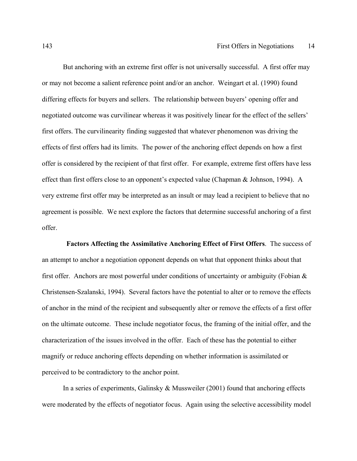But anchoring with an extreme first offer is not universally successful. A first offer may or may not become a salient reference point and/or an anchor. Weingart et al. (1990) found differing effects for buyers and sellers. The relationship between buyers' opening offer and negotiated outcome was curvilinear whereas it was positively linear for the effect of the sellers' first offers. The curvilinearity finding suggested that whatever phenomenon was driving the effects of first offers had its limits. The power of the anchoring effect depends on how a first offer is considered by the recipient of that first offer. For example, extreme first offers have less effect than first offers close to an opponent's expected value (Chapman & Johnson, 1994). A very extreme first offer may be interpreted as an insult or may lead a recipient to believe that no agreement is possible. We next explore the factors that determine successful anchoring of a first offer.

 **Factors Affecting the Assimilative Anchoring Effect of First Offers**. The success of an attempt to anchor a negotiation opponent depends on what that opponent thinks about that first offer. Anchors are most powerful under conditions of uncertainty or ambiguity (Fobian & Christensen-Szalanski, 1994). Several factors have the potential to alter or to remove the effects of anchor in the mind of the recipient and subsequently alter or remove the effects of a first offer on the ultimate outcome. These include negotiator focus, the framing of the initial offer, and the characterization of the issues involved in the offer. Each of these has the potential to either magnify or reduce anchoring effects depending on whether information is assimilated or perceived to be contradictory to the anchor point.

In a series of experiments, Galinsky & Mussweiler (2001) found that anchoring effects were moderated by the effects of negotiator focus. Again using the selective accessibility model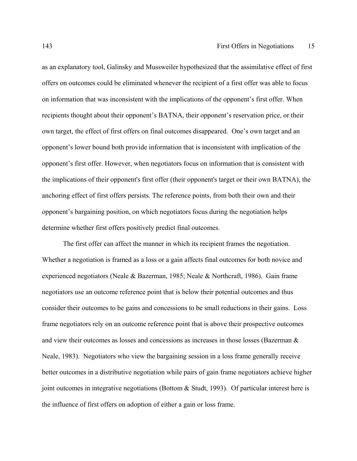as an explanatory tool, Galinsky and Mussweiler hypothesized that the assimilative effect of first offers on outcomes could be eliminated whenever the recipient of a first offer was able to focus on information that was inconsistent with the implications of the opponent's first offer. When recipients thought about their opponent's BATNA, their opponent's reservation price, or their own target, the effect of first offers on final outcomes disappeared. One's own target and an opponent's lower bound both provide information that is inconsistent with implication of the opponent's first offer. However, when negotiators focus on information that is consistent with the implications of their opponent's first offer (their opponent's target or their own BATNA), the anchoring effect of first offers persists. The reference points, from both their own and their opponent's bargaining position, on which negotiators focus during the negotiation helps determine whether first offers positively predict final outcomes.

The first offer can affect the manner in which its recipient frames the negotiation. Whether a negotiation is framed as a loss or a gain affects final outcomes for both novice and experienced negotiators (Neale & Bazerman, 1985; Neale & Northcraft, 1986). Gain frame negotiators use an outcome reference point that is below their potential outcomes and thus consider their outcomes to be gains and concessions to be small reductions in their gains. Loss frame negotiators rely on an outcome reference point that is above their prospective outcomes and view their outcomes as losses and concessions as increases in those losses (Bazerman & Neale, 1983). Negotiators who view the bargaining session in a loss frame generally receive better outcomes in a distributive negotiation while pairs of gain frame negotiators achieve higher joint outcomes in integrative negotiations (Bottom  $\&$  Studt, 1993). Of particular interest here is the influence of first offers on adoption of either a gain or loss frame.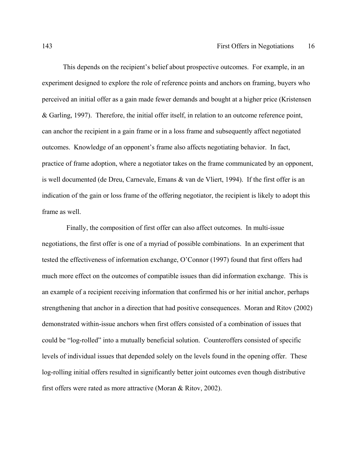This depends on the recipient's belief about prospective outcomes. For example, in an experiment designed to explore the role of reference points and anchors on framing, buyers who perceived an initial offer as a gain made fewer demands and bought at a higher price (Kristensen & Garling, 1997). Therefore, the initial offer itself, in relation to an outcome reference point, can anchor the recipient in a gain frame or in a loss frame and subsequently affect negotiated outcomes. Knowledge of an opponent's frame also affects negotiating behavior. In fact, practice of frame adoption, where a negotiator takes on the frame communicated by an opponent, is well documented (de Dreu, Carnevale, Emans & van de Vliert, 1994). If the first offer is an indication of the gain or loss frame of the offering negotiator, the recipient is likely to adopt this frame as well.

 Finally, the composition of first offer can also affect outcomes. In multi-issue negotiations, the first offer is one of a myriad of possible combinations. In an experiment that tested the effectiveness of information exchange, O'Connor (1997) found that first offers had much more effect on the outcomes of compatible issues than did information exchange. This is an example of a recipient receiving information that confirmed his or her initial anchor, perhaps strengthening that anchor in a direction that had positive consequences. Moran and Ritov (2002) demonstrated within-issue anchors when first offers consisted of a combination of issues that could be "log-rolled" into a mutually beneficial solution. Counteroffers consisted of specific levels of individual issues that depended solely on the levels found in the opening offer. These log-rolling initial offers resulted in significantly better joint outcomes even though distributive first offers were rated as more attractive (Moran & Ritov, 2002).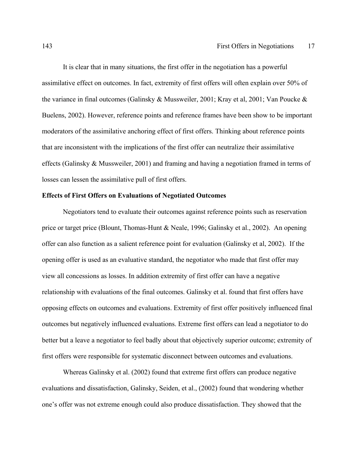It is clear that in many situations, the first offer in the negotiation has a powerful assimilative effect on outcomes. In fact, extremity of first offers will often explain over 50% of the variance in final outcomes (Galinsky & Mussweiler, 2001; Kray et al, 2001; Van Poucke & Buelens, 2002). However, reference points and reference frames have been show to be important moderators of the assimilative anchoring effect of first offers. Thinking about reference points that are inconsistent with the implications of the first offer can neutralize their assimilative effects (Galinsky & Mussweiler, 2001) and framing and having a negotiation framed in terms of losses can lessen the assimilative pull of first offers.

## **Effects of First Offers on Evaluations of Negotiated Outcomes**

 Negotiators tend to evaluate their outcomes against reference points such as reservation price or target price (Blount, Thomas-Hunt & Neale, 1996; Galinsky et al., 2002). An opening offer can also function as a salient reference point for evaluation (Galinsky et al, 2002). If the opening offer is used as an evaluative standard, the negotiator who made that first offer may view all concessions as losses. In addition extremity of first offer can have a negative relationship with evaluations of the final outcomes. Galinsky et al. found that first offers have opposing effects on outcomes and evaluations. Extremity of first offer positively influenced final outcomes but negatively influenced evaluations. Extreme first offers can lead a negotiator to do better but a leave a negotiator to feel badly about that objectively superior outcome; extremity of first offers were responsible for systematic disconnect between outcomes and evaluations.

Whereas Galinsky et al. (2002) found that extreme first offers can produce negative evaluations and dissatisfaction, Galinsky, Seiden, et al., (2002) found that wondering whether one's offer was not extreme enough could also produce dissatisfaction. They showed that the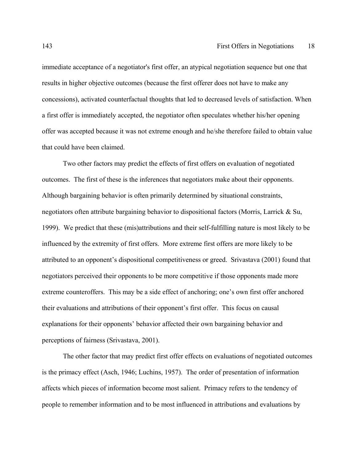immediate acceptance of a negotiator's first offer, an atypical negotiation sequence but one that results in higher objective outcomes (because the first offerer does not have to make any concessions), activated counterfactual thoughts that led to decreased levels of satisfaction. When a first offer is immediately accepted, the negotiator often speculates whether his/her opening offer was accepted because it was not extreme enough and he/she therefore failed to obtain value that could have been claimed.

 Two other factors may predict the effects of first offers on evaluation of negotiated outcomes. The first of these is the inferences that negotiators make about their opponents. Although bargaining behavior is often primarily determined by situational constraints, negotiators often attribute bargaining behavior to dispositional factors (Morris, Larrick & Su, 1999). We predict that these (mis)attributions and their self-fulfilling nature is most likely to be influenced by the extremity of first offers. More extreme first offers are more likely to be attributed to an opponent's dispositional competitiveness or greed. Srivastava (2001) found that negotiators perceived their opponents to be more competitive if those opponents made more extreme counteroffers. This may be a side effect of anchoring; one's own first offer anchored their evaluations and attributions of their opponent's first offer. This focus on causal explanations for their opponents' behavior affected their own bargaining behavior and perceptions of fairness (Srivastava, 2001).

 The other factor that may predict first offer effects on evaluations of negotiated outcomes is the primacy effect (Asch, 1946; Luchins, 1957). The order of presentation of information affects which pieces of information become most salient. Primacy refers to the tendency of people to remember information and to be most influenced in attributions and evaluations by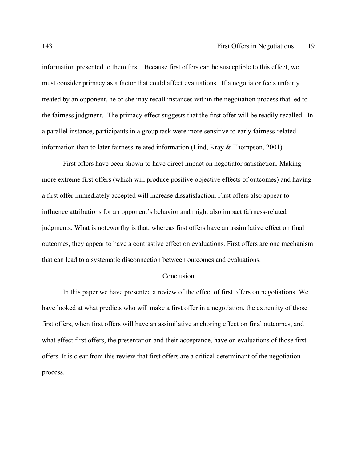information presented to them first. Because first offers can be susceptible to this effect, we must consider primacy as a factor that could affect evaluations. If a negotiator feels unfairly treated by an opponent, he or she may recall instances within the negotiation process that led to the fairness judgment. The primacy effect suggests that the first offer will be readily recalled. In a parallel instance, participants in a group task were more sensitive to early fairness-related information than to later fairness-related information (Lind, Kray & Thompson, 2001).

 First offers have been shown to have direct impact on negotiator satisfaction. Making more extreme first offers (which will produce positive objective effects of outcomes) and having a first offer immediately accepted will increase dissatisfaction. First offers also appear to influence attributions for an opponent's behavior and might also impact fairness-related judgments. What is noteworthy is that, whereas first offers have an assimilative effect on final outcomes, they appear to have a contrastive effect on evaluations. First offers are one mechanism that can lead to a systematic disconnection between outcomes and evaluations.

## Conclusion

 In this paper we have presented a review of the effect of first offers on negotiations. We have looked at what predicts who will make a first offer in a negotiation, the extremity of those first offers, when first offers will have an assimilative anchoring effect on final outcomes, and what effect first offers, the presentation and their acceptance, have on evaluations of those first offers. It is clear from this review that first offers are a critical determinant of the negotiation process.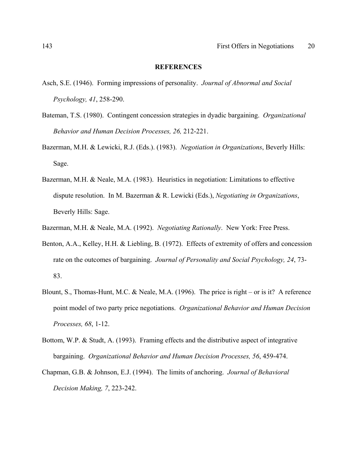#### **REFERENCES**

- Asch, S.E. (1946). Forming impressions of personality. *Journal of Abnormal and Social Psychology, 41*, 258-290.
- Bateman, T.S. (1980). Contingent concession strategies in dyadic bargaining. *Organizational Behavior and Human Decision Processes, 26,* 212-221.
- Bazerman, M.H. & Lewicki, R.J. (Eds.). (1983). *Negotiation in Organizations*, Beverly Hills: Sage.
- Bazerman, M.H. & Neale, M.A. (1983). Heuristics in negotiation: Limitations to effective dispute resolution. In M. Bazerman & R. Lewicki (Eds.), *Negotiating in Organizations*, Beverly Hills: Sage.
- Bazerman, M.H. & Neale, M.A. (1992). *Negotiating Rationally*. New York: Free Press.
- Benton, A.A., Kelley, H.H. & Liebling, B. (1972). Effects of extremity of offers and concession rate on the outcomes of bargaining. *Journal of Personality and Social Psychology, 24*, 73- 83.
- Blount, S., Thomas-Hunt, M.C. & Neale, M.A. (1996). The price is right or is it? A reference point model of two party price negotiations. *Organizational Behavior and Human Decision Processes, 68*, 1-12.
- Bottom, W.P. & Studt, A. (1993). Framing effects and the distributive aspect of integrative bargaining. *Organizational Behavior and Human Decision Processes, 56*, 459-474.
- Chapman, G.B. & Johnson, E.J. (1994). The limits of anchoring. *Journal of Behavioral Decision Making, 7*, 223-242.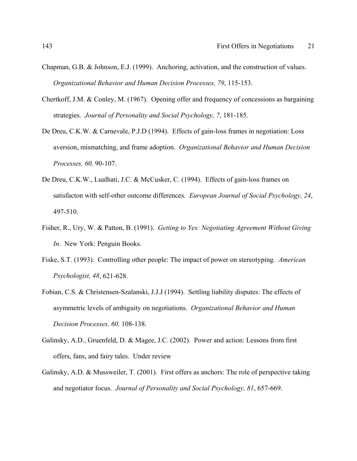- Chapman, G.B. & Johnson, E.J. (1999). Anchoring, activation, and the construction of values. *Organizational Behavior and Human Decision Processes, 79*, 115-153.
- Chertkoff, J.M. & Conley, M. (1967). Opening offer and frequency of concessions as bargaining strategies. *Journal of Personality and Social Psychology, 7*, 181-185.
- De Dreu, C.K.W. & Carnevale, P.J.D (1994). Effects of gain-loss frames in negotiation: Loss aversion, mismatching, and frame adoption. *Organizational Behavior and Human Decision Processes, 60,* 90-107.
- De Dreu, C.K.W., Lualhati, J.C. & McCusker, C. (1994). Effects of gain-loss frames on satisfacton with self-other outcome differences. *European Journal of Social Psychology, 24*, 497-510.
- Fisher, R., Ury, W. & Patton, B. (1991). *Getting to Yes: Negotiating Agreement Without Giving In*. New York: Penguin Books.
- Fiske, S.T. (1993). Controlling other people: The impact of power on stereotyping. *American Psychologist, 48*, 621-628.
- Fobian, C.S. & Christensen-Szalanski, J.J.J (1994). Settling liability disputes: The effects of asymmetric levels of ambiguity on negotiations. *Organizational Behavior and Human Decision Processes, 60,* 108-138.
- Galinsky, A.D., Gruenfeld, D. & Magee, J.C. (2002). Power and action: Lessons from first offers, fans, and fairy tales. Under review
- Galinsky, A.D. & Mussweiler, T. (2001). First offers as anchors: The role of perspective taking and negotiator focus. *Journal of Personality and Social Psychology, 81*, 657-669.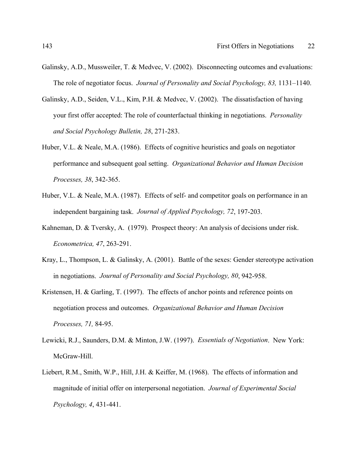- Galinsky, A.D., Mussweiler, T. & Medvec, V. (2002). Disconnecting outcomes and evaluations: The role of negotiator focus. *Journal of Personality and Social Psychology, 83,* 1131–1140.
- Galinsky, A.D., Seiden, V.L., Kim, P.H. & Medvec, V. (2002). The dissatisfaction of having your first offer accepted: The role of counterfactual thinking in negotiations. *Personality and Social Psychology Bulletin, 28*, 271-283.
- Huber, V.L. & Neale, M.A. (1986). Effects of cognitive heuristics and goals on negotiator performance and subsequent goal setting. *Organizational Behavior and Human Decision Processes, 38*, 342-365.
- Huber, V.L. & Neale, M.A. (1987). Effects of self- and competitor goals on performance in an independent bargaining task. *Journal of Applied Psychology, 72*, 197-203.
- Kahneman, D. & Tversky, A. (1979). Prospect theory: An analysis of decisions under risk. *Econometrica, 47*, 263-291.
- Kray, L., Thompson, L. & Galinsky, A. (2001). Battle of the sexes: Gender stereotype activation in negotiations. *Journal of Personality and Social Psychology, 80*, 942-958.
- Kristensen, H. & Garling, T. (1997). The effects of anchor points and reference points on negotiation process and outcomes. *Organizational Behavior and Human Decision Processes, 71,* 84-95.
- Lewicki, R.J., Saunders, D.M. & Minton, J.W. (1997). *Essentials of Negotiation*. New York: McGraw-Hill.
- Liebert, R.M., Smith, W.P., Hill, J.H. & Keiffer, M. (1968). The effects of information and magnitude of initial offer on interpersonal negotiation. *Journal of Experimental Social Psychology, 4*, 431-441.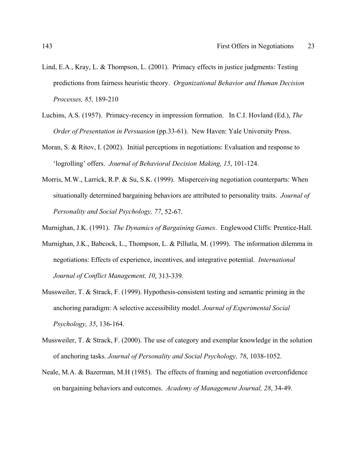- Lind, E.A., Kray, L. & Thompson, L. (2001). Primacy effects in justice judgments: Testing predictions from fairness heuristic theory. *Organizational Behavior and Human Decision Processes, 85,* 189-210
- Luchins, A.S. (1957). Primacy-recency in impression formation. In C.I. Hovland (Ed.), *The Order of Presentation in Persuasion* (pp.33-61). New Haven: Yale University Press.
- Moran, S. & Ritov, I. (2002). Initial perceptions in negotiations: Evaluation and response to 'logrolling' offers. *Journal of Behavioral Decision Making, 15*, 101-124.
- Morris, M.W., Larrick, R.P. & Su, S.K. (1999). Misperceiving negotiation counterparts: When situationally determined bargaining behaviors are attributed to personality traits. *Journal of Personality and Social Psychology, 77*, 52-67.
- Murnighan, J.K. (1991). *The Dynamics of Bargaining Games*. Englewood Cliffs: Prentice-Hall.
- Murnighan, J.K., Babcock, L., Thompson, L. & Pillutla, M. (1999). The information dilemma in negotiations: Effects of experience, incentives, and integrative potential. *International Journal of Conflict Management, 10*, 313-339.
- Mussweiler, T. & Strack, F. (1999). Hypothesis-consistent testing and semantic priming in the anchoring paradigm: A selective accessibility model. *Journal of Experimental Social Psychology, 35*, 136-164.
- Mussweiler, T. & Strack, F. (2000). The use of category and exemplar knowledge in the solution of anchoring tasks. *Journal of Personality and Social Psychology, 78*, 1038-1052.
- Neale, M.A. & Bazerman, M.H (1985). The effects of framing and negotiation overconfidence on bargaining behaviors and outcomes. *Academy of Management Journal, 28*, 34-49.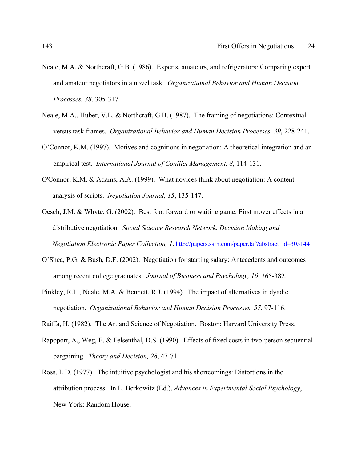- Neale, M.A. & Northcraft, G.B. (1986). Experts, amateurs, and refrigerators: Comparing expert and amateur negotiators in a novel task. *Organizational Behavior and Human Decision Processes, 38,* 305-317.
- Neale, M.A., Huber, V.L. & Northcraft, G.B. (1987). The framing of negotiations: Contextual versus task frames. *Organizational Behavior and Human Decision Processes, 39*, 228-241.
- O'Connor, K.M. (1997). Motives and cognitions in negotiation: A theoretical integration and an empirical test. *International Journal of Conflict Management, 8*, 114-131.
- O'Connor, K.M. & Adams, A.A. (1999). What novices think about negotiation: A content analysis of scripts. *Negotiation Journal, 15*, 135-147.
- Oesch, J.M. & Whyte, G. (2002). Best foot forward or waiting game: First mover effects in a distributive negotiation. *Social Science Research Network, Decision Making and Negotiation Electronic Paper Collection, 1*. http://papers.ssrn.com/paper.taf?abstract\_id=305144
- O'Shea, P.G. & Bush, D.F. (2002). Negotiation for starting salary: Antecedents and outcomes among recent college graduates. *Journal of Business and Psychology, 16*, 365-382.
- Pinkley, R.L., Neale, M.A. & Bennett, R.J. (1994). The impact of alternatives in dyadic negotiation. *Organizational Behavior and Human Decision Processes, 57*, 97-116.
- Raiffa, H. (1982). The Art and Science of Negotiation. Boston: Harvard University Press.
- Rapoport, A., Weg, E. & Felsenthal, D.S. (1990). Effects of fixed costs in two-person sequential bargaining. *Theory and Decision, 28*, 47-71.
- Ross, L.D. (1977). The intuitive psychologist and his shortcomings: Distortions in the attribution process. In L. Berkowitz (Ed.), *Advances in Experimental Social Psychology*, New York: Random House.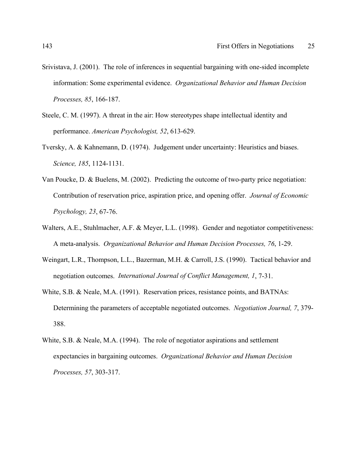- Srivistava, J. (2001). The role of inferences in sequential bargaining with one-sided incomplete information: Some experimental evidence. *Organizational Behavior and Human Decision Processes, 85*, 166-187.
- Steele, C. M. (1997). A threat in the air: How stereotypes shape intellectual identity and performance. *American Psychologist, 52*, 613-629.
- Tversky, A. & Kahnemann, D. (1974). Judgement under uncertainty: Heuristics and biases. *Science, 185*, 1124-1131.
- Van Poucke, D. & Buelens, M. (2002). Predicting the outcome of two-party price negotiation: Contribution of reservation price, aspiration price, and opening offer. *Journal of Economic Psychology, 23*, 67-76.
- Walters, A.E., Stuhlmacher, A.F. & Meyer, L.L. (1998). Gender and negotiator competitiveness: A meta-analysis. *Organizational Behavior and Human Decision Processes, 76*, 1-29.
- Weingart, L.R., Thompson, L.L., Bazerman, M.H. & Carroll, J.S. (1990). Tactical behavior and negotiation outcomes. *International Journal of Conflict Management, 1*, 7-31.
- White, S.B. & Neale, M.A. (1991). Reservation prices, resistance points, and BATNAs: Determining the parameters of acceptable negotiated outcomes. *Negotiation Journal, 7*, 379- 388.
- White, S.B. & Neale, M.A. (1994). The role of negotiator aspirations and settlement expectancies in bargaining outcomes. *Organizational Behavior and Human Decision Processes, 57*, 303-317.